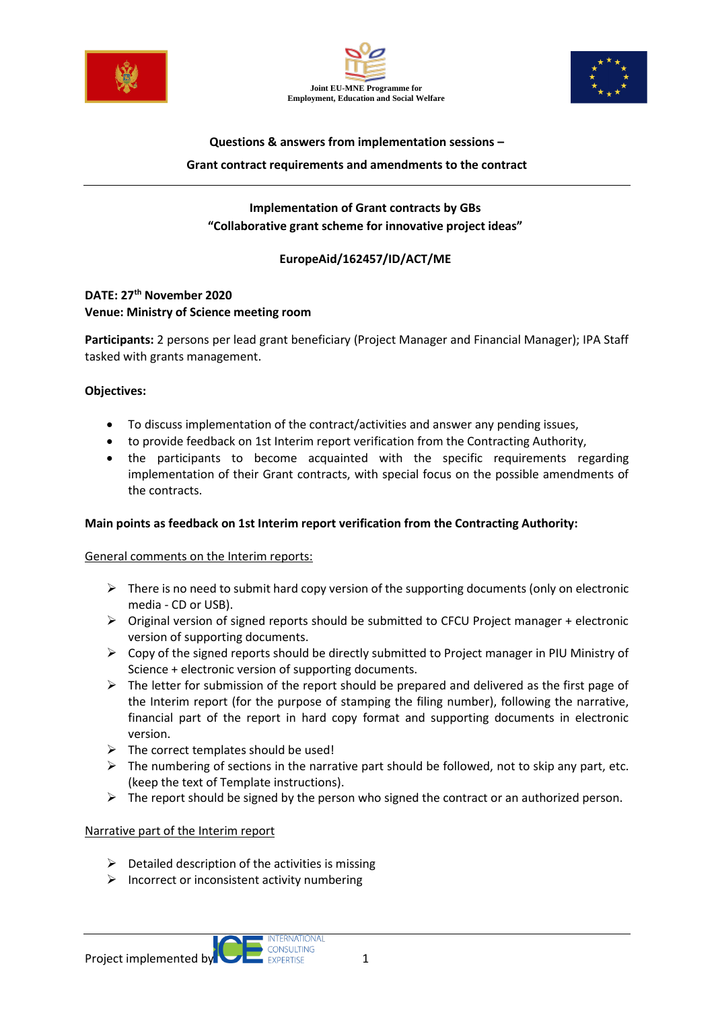





# **Questions & answers from implementation sessions – Grant contract requirements and amendments to the contract**

**Implementation of Grant contracts by GBs "Collaborative grant scheme for innovative project ideas"**

## **EuropeAid/162457/ID/ACT/ME**

## **DATE: 27th November 2020 Venue: Ministry of Science meeting room**

**Participants:** 2 persons per lead grant beneficiary (Project Manager and Financial Manager); IPA Staff tasked with grants management.

## **Objectives:**

- To discuss implementation of the contract/activities and answer any pending issues,
- to provide feedback on 1st Interim report verification from the Contracting Authority,
- the participants to become acquainted with the specific requirements regarding implementation of their Grant contracts, with special focus on the possible amendments of the contracts.

## **Main points as feedback on 1st Interim report verification from the Contracting Authority:**

## General comments on the Interim reports:

- $\triangleright$  There is no need to submit hard copy version of the supporting documents (only on electronic media - CD or USB).
- $\triangleright$  Original version of signed reports should be submitted to CFCU Project manager + electronic version of supporting documents.
- ➢ Copy of the signed reports should be directly submitted to Project manager in PIU Ministry of Science + electronic version of supporting documents.
- $\triangleright$  The letter for submission of the report should be prepared and delivered as the first page of the Interim report (for the purpose of stamping the filing number), following the narrative, financial part of the report in hard copy format and supporting documents in electronic version.
- $\triangleright$  The correct templates should be used!
- $\triangleright$  The numbering of sections in the narrative part should be followed, not to skip any part, etc. (keep the text of Template instructions).
- $\triangleright$  The report should be signed by the person who signed the contract or an authorized person.

## Narrative part of the Interim report

- $\triangleright$  Detailed description of the activities is missing
- $\triangleright$  Incorrect or inconsistent activity numbering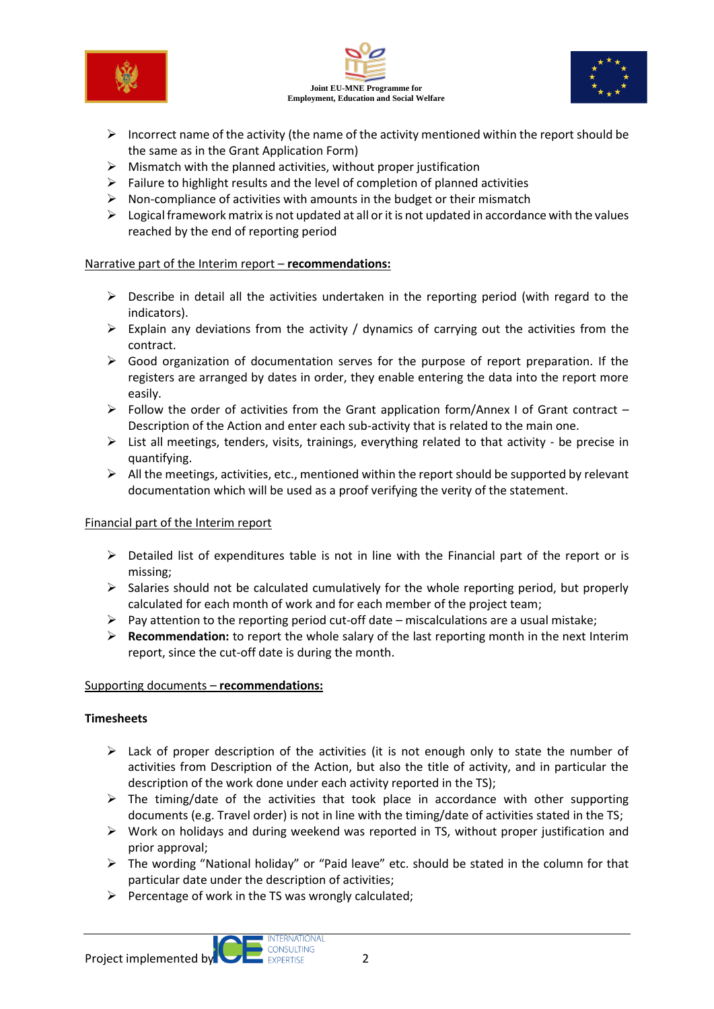





- $\triangleright$  Incorrect name of the activity (the name of the activity mentioned within the report should be the same as in the Grant Application Form)
- $\triangleright$  Mismatch with the planned activities, without proper justification
- $\triangleright$  Failure to highlight results and the level of completion of planned activities
- $\triangleright$  Non-compliance of activities with amounts in the budget or their mismatch
- $\triangleright$  Logical framework matrix is not updated at all or it is not updated in accordance with the values reached by the end of reporting period

#### Narrative part of the Interim report – **recommendations:**

- $\triangleright$  Describe in detail all the activities undertaken in the reporting period (with regard to the indicators).
- $\triangleright$  Explain any deviations from the activity / dynamics of carrying out the activities from the contract.
- ➢ Good organization of documentation serves for the purpose of report preparation. If the registers are arranged by dates in order, they enable entering the data into the report more easily.
- ➢ Follow the order of activities from the Grant application form/Annex I of Grant contract Description of the Action and enter each sub-activity that is related to the main one.
- ➢ List all meetings, tenders, visits, trainings, everything related to that activity be precise in quantifying.
- $\triangleright$  All the meetings, activities, etc., mentioned within the report should be supported by relevant documentation which will be used as a proof verifying the verity of the statement.

## Financial part of the Interim report

- ➢ Detailed list of expenditures table is not in line with the Financial part of the report or is missing;
- $\triangleright$  Salaries should not be calculated cumulatively for the whole reporting period, but properly calculated for each month of work and for each member of the project team;
- $\triangleright$  Pay attention to the reporting period cut-off date miscalculations are a usual mistake;
- ➢ **Recommendation:** to report the whole salary of the last reporting month in the next Interim report, since the cut-off date is during the month.

## Supporting documents – **recommendations:**

## **Timesheets**

- $\triangleright$  Lack of proper description of the activities (it is not enough only to state the number of activities from Description of the Action, but also the title of activity, and in particular the description of the work done under each activity reported in the TS);
- $\triangleright$  The timing/date of the activities that took place in accordance with other supporting documents (e.g. Travel order) is not in line with the timing/date of activities stated in the TS;
- ➢ Work on holidays and during weekend was reported in TS, without proper justification and prior approval;
- $\triangleright$  The wording "National holiday" or "Paid leave" etc. should be stated in the column for that particular date under the description of activities;
- $\triangleright$  Percentage of work in the TS was wrongly calculated;

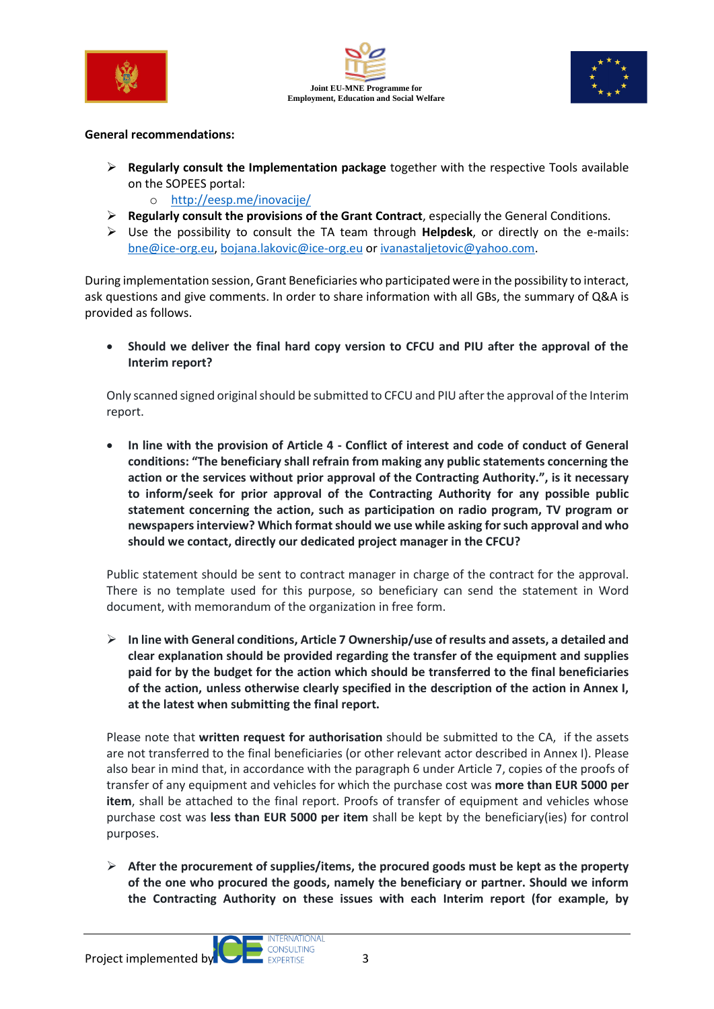





#### **General recommendations:**

- ➢ **Regularly consult the Implementation package** together with the respective Tools available on the SOPEES portal:
	- o <http://eesp.me/inovacije/>
- ➢ **Regularly consult the provisions of the Grant Contract**, especially the General Conditions.
- ➢ Use the possibility to consult the TA team through **Helpdesk**, or directly on the e-mails: [bne@ice-org.eu,](mailto:bne@ice-org.eu) [bojana.lakovic@ice-org.eu](mailto:bojana.lakovic@ice-org.eu) or [ivanastaljetovic@yahoo.com.](mailto:ivanastaljetovic@yahoo.com)

During implementation session, Grant Beneficiaries who participated were in the possibility to interact, ask questions and give comments. In order to share information with all GBs, the summary of Q&A is provided as follows.

• **Should we deliver the final hard copy version to CFCU and PIU after the approval of the Interim report?**

Only scanned signed original should be submitted to CFCU and PIU after the approval of the Interim report.

• **In line with the provision of Article 4 - Conflict of interest and code of conduct of General conditions: "The beneficiary shall refrain from making any public statements concerning the action or the services without prior approval of the Contracting Authority.", is it necessary to inform/seek for prior approval of the Contracting Authority for any possible public statement concerning the action, such as participation on radio program, TV program or newspapers interview? Which format should we use while asking for such approval and who should we contact, directly our dedicated project manager in the CFCU?**

Public statement should be sent to contract manager in charge of the contract for the approval. There is no template used for this purpose, so beneficiary can send the statement in Word document, with memorandum of the organization in free form.

➢ **In line with General conditions, Article 7 Ownership/use of results and assets, a detailed and clear explanation should be provided regarding the transfer of the equipment and supplies paid for by the budget for the action which should be transferred to the final beneficiaries of the action, unless otherwise clearly specified in the description of the action in Annex I, at the latest when submitting the final report.**

Please note that **written request for authorisation** should be submitted to the CA, if the assets are not transferred to the final beneficiaries (or other relevant actor described in Annex I). Please also bear in mind that, in accordance with the paragraph 6 under Article 7, copies of the proofs of transfer of any equipment and vehicles for which the purchase cost was **more than EUR 5000 per item**, shall be attached to the final report. Proofs of transfer of equipment and vehicles whose purchase cost was **less than EUR 5000 per item** shall be kept by the beneficiary(ies) for control purposes.

➢ **After the procurement of supplies/items, the procured goods must be kept as the property of the one who procured the goods, namely the beneficiary or partner. Should we inform the Contracting Authority on these issues with each Interim report (for example, by** 

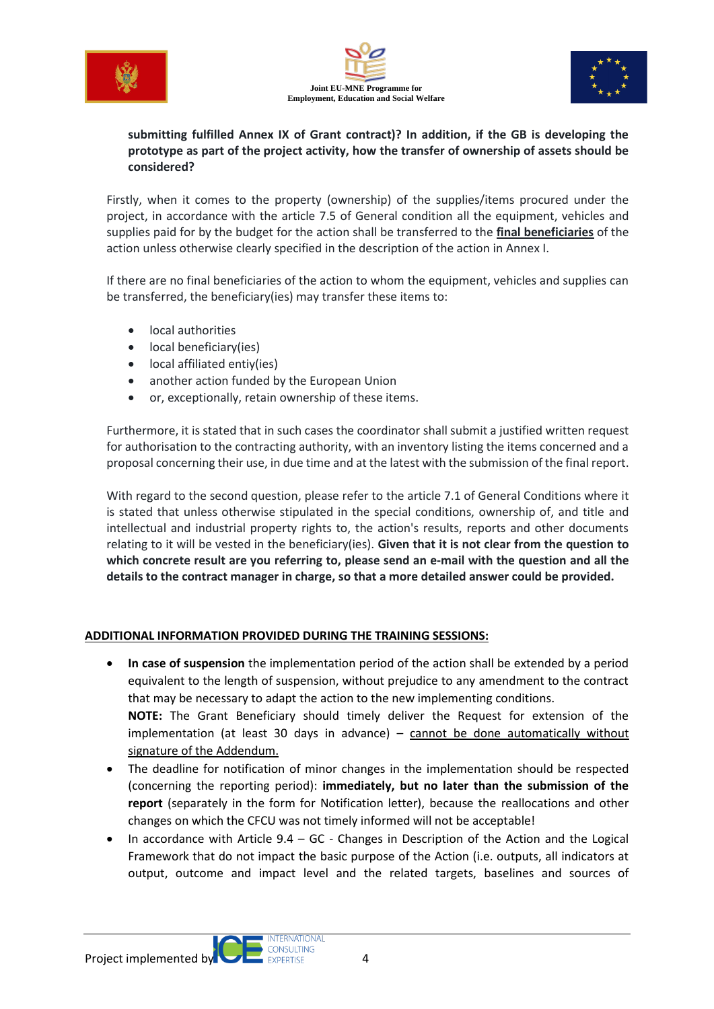





## **submitting fulfilled Annex IX of Grant contract)? In addition, if the GB is developing the prototype as part of the project activity, how the transfer of ownership of assets should be considered?**

Firstly, when it comes to the property (ownership) of the supplies/items procured under the project, in accordance with the article 7.5 of General condition all the equipment, vehicles and supplies paid for by the budget for the action shall be transferred to the **final beneficiaries** of the action unless otherwise clearly specified in the description of the action in Annex I.

If there are no final beneficiaries of the action to whom the equipment, vehicles and supplies can be transferred, the beneficiary(ies) may transfer these items to:

- local authorities
- local beneficiary(ies)
- local affiliated entiy(ies)
- another action funded by the European Union
- or, exceptionally, retain ownership of these items.

Furthermore, it is stated that in such cases the coordinator shall submit a justified written request for authorisation to the contracting authority, with an inventory listing the items concerned and a proposal concerning their use, in due time and at the latest with the submission of the final report.

With regard to the second question, please refer to the article 7.1 of General Conditions where it is stated that unless otherwise stipulated in the special conditions, ownership of, and title and intellectual and industrial property rights to, the action's results, reports and other documents relating to it will be vested in the beneficiary(ies). **Given that it is not clear from the question to which concrete result are you referring to, please send an e-mail with the question and all the details to the contract manager in charge, so that a more detailed answer could be provided.**

## **ADDITIONAL INFORMATION PROVIDED DURING THE TRAINING SESSIONS:**

• **In case of suspension** the implementation period of the action shall be extended by a period equivalent to the length of suspension, without prejudice to any amendment to the contract that may be necessary to adapt the action to the new implementing conditions.

**NOTE:** The Grant Beneficiary should timely deliver the Request for extension of the implementation (at least 30 days in advance) – cannot be done automatically without signature of the Addendum.

- The deadline for notification of minor changes in the implementation should be respected (concerning the reporting period): **immediately, but no later than the submission of the report** (separately in the form for Notification letter), because the reallocations and other changes on which the CFCU was not timely informed will not be acceptable!
- In accordance with Article  $9.4 GC$  Changes in Description of the Action and the Logical Framework that do not impact the basic purpose of the Action (i.e. outputs, all indicators at output, outcome and impact level and the related targets, baselines and sources of